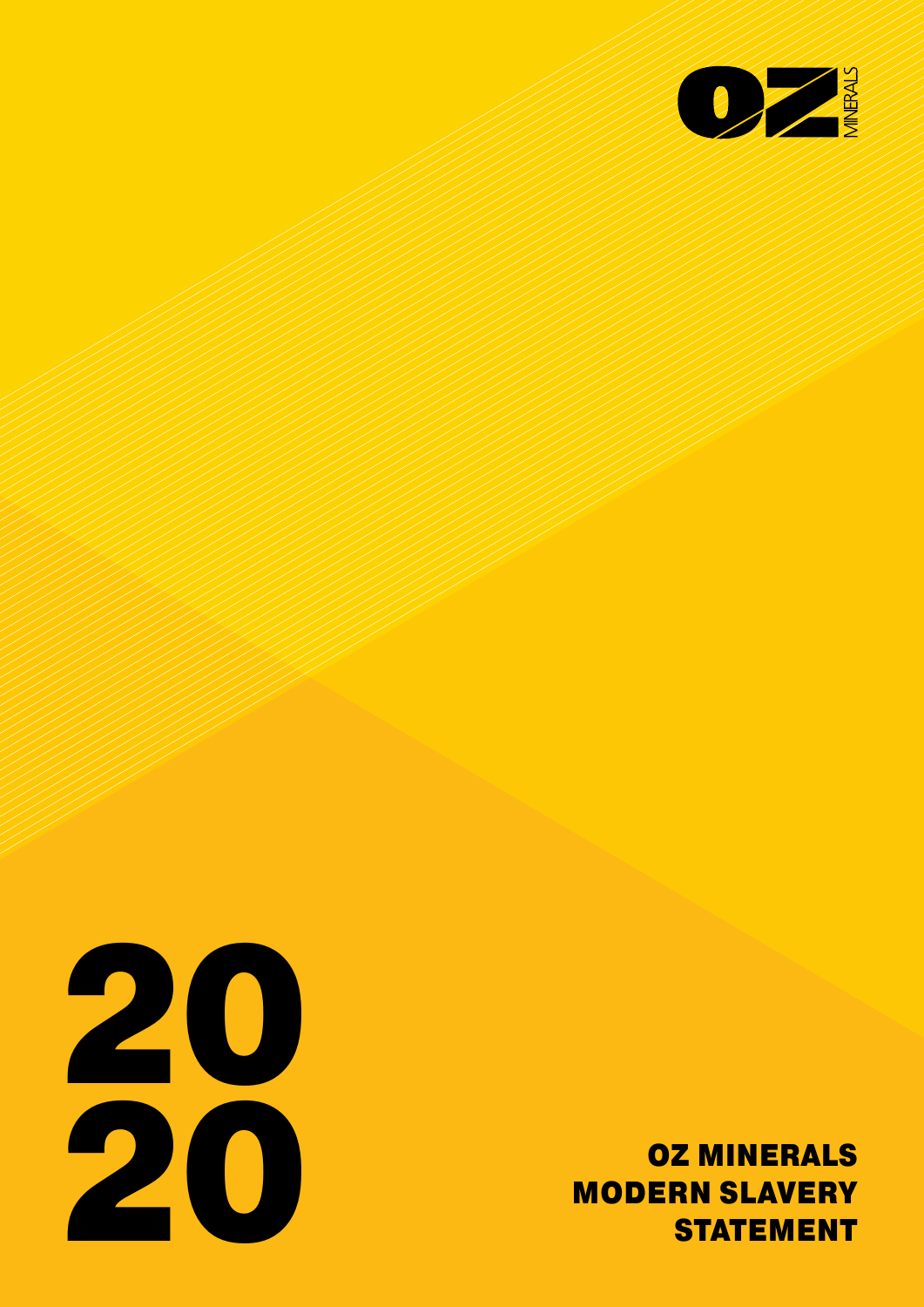



**OZ MINERALS** MODERN SLAVERY STATEMENT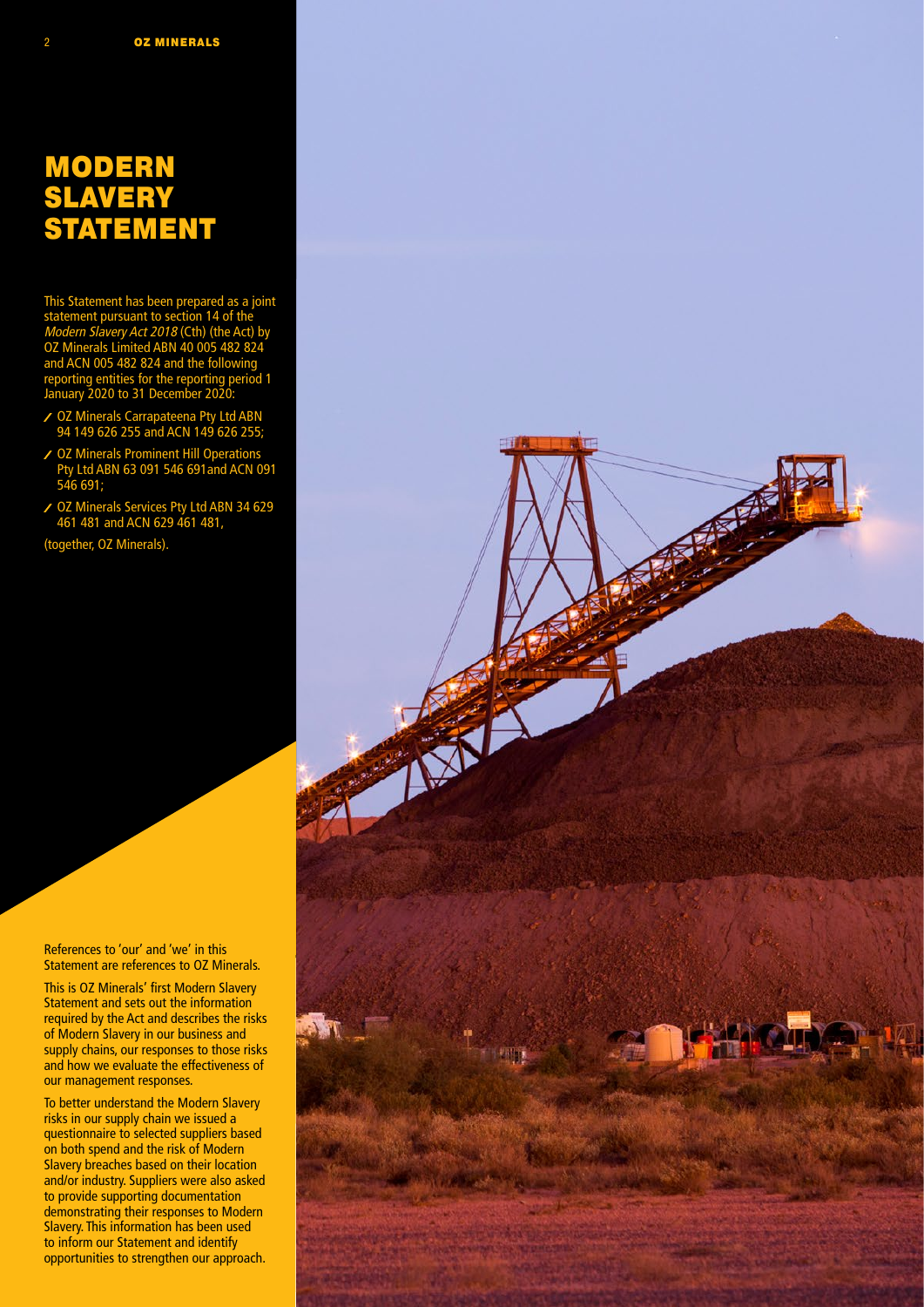# MODERN SLAVERY TATEMENT

This Statement has been prepared as a joint statement pursuant to section 14 of the Modern Slavery Act 2018 (Cth) (the Act) by OZ Minerals Limited ABN 40 005 482 824 and ACN 005 482 824 and the following reporting entities for the reporting period 1 January 2020 to 31 December 2020:

- ⁄OZ Minerals Carrapateena Pty Ltd ABN 94 149 626 255 and ACN 149 626 255;
- ⁄OZ Minerals Prominent Hill Operations Pty Ltd ABN 63 091 546 691and ACN 091 546 691;
- ⁄OZ Minerals Services Pty Ltd ABN 34 629 461 481 and ACN 629 461 481,

(together, OZ Minerals).

References to 'our' and 'we' in this Statement are references to OZ Minerals.

This is OZ Minerals' first Modern Slavery Statement and sets out the information required by the Act and describes the risks of Modern Slavery in our business and supply chains, our responses to those risks and how we evaluate the effectiveness of our management responses.

To better understand the Modern Slavery risks in our supply chain we issued a questionnaire to selected suppliers based on both spend and the risk of Modern Slavery breaches based on their location and/or industry. Suppliers were also asked to provide supporting documentation demonstrating their responses to Modern Slavery. This information has been used to inform our Statement and identify opportunities to strengthen our approach.

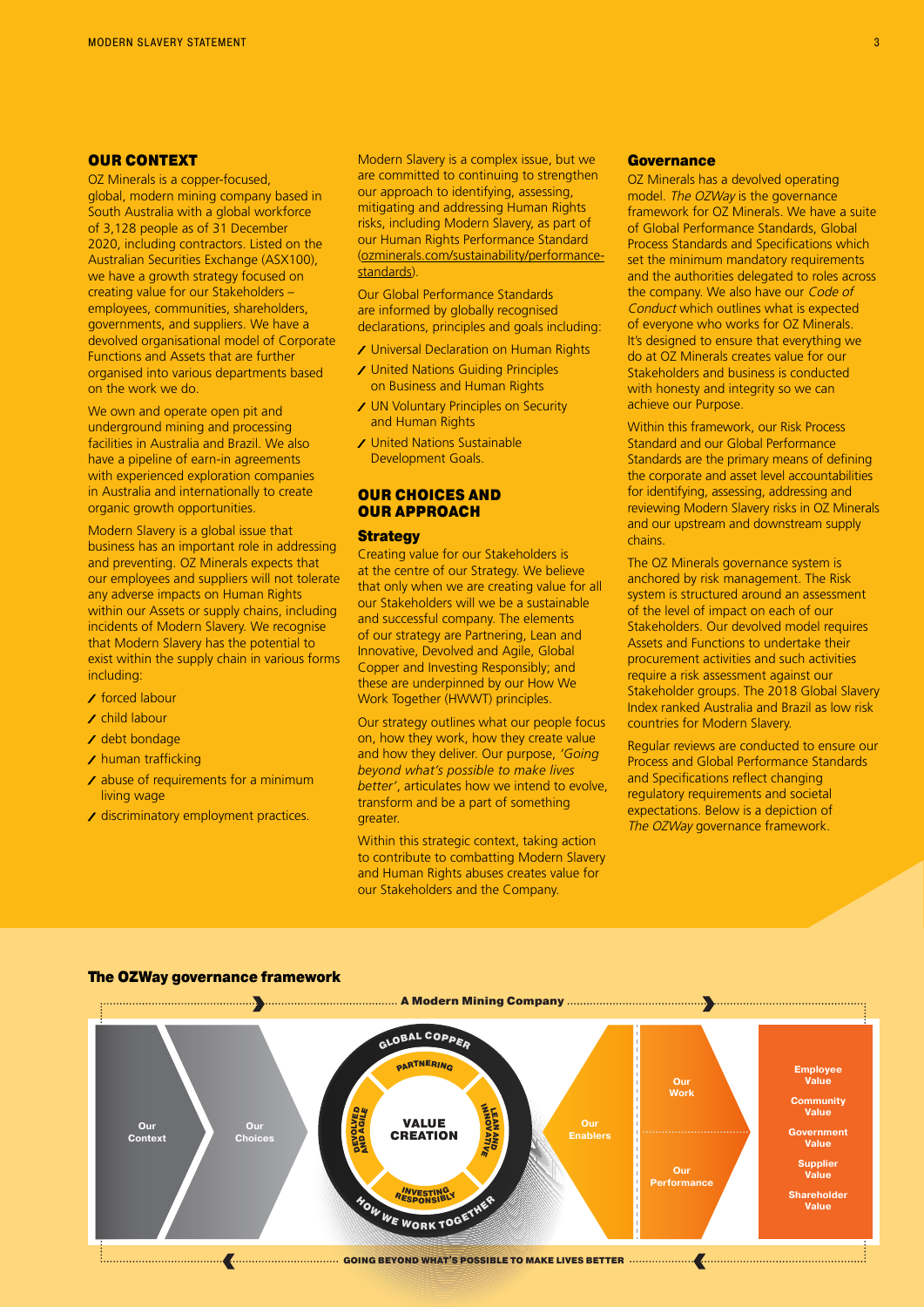#### OUR CONTEXT

OZ Minerals is a copper-focused, global, modern mining company based in South Australia with a global workforce of 3,128 people as of 31 December 2020, including contractors. Listed on the Australian Securities Exchange (ASX100), we have a growth strategy focused on creating value for our Stakeholders – employees, communities, shareholders, governments, and suppliers. We have a devolved organisational model of Corporate Functions and Assets that are further organised into various departments based on the work we do.

We own and operate open pit and underground mining and processing facilities in Australia and Brazil. We also have a pipeline of earn-in agreements with experienced exploration companies in Australia and internationally to create organic growth opportunities.

Modern Slavery is a global issue that business has an important role in addressing and preventing. OZ Minerals expects that our employees and suppliers will not tolerate any adverse impacts on Human Rights within our Assets or supply chains, including incidents of Modern Slavery. We recognise that Modern Slavery has the potential to exist within the supply chain in various forms including:

- ⁄forced labour
- ⁄child labour
- ⁄debt bondage
- ⁄human trafficking
- ⁄abuse of requirements for a minimum living wage
- ⁄discriminatory employment practices.

Modern Slavery is a complex issue, but we are committed to continuing to strengthen our approach to identifying, assessing, mitigating and addressing Human Rights risks, including Modern Slavery, as part of our Human Rights Performance Standard ([ozminerals.com/sustainability/performance](https://www.ozminerals.com/sustainability/performance-standards/)[standards](https://www.ozminerals.com/sustainability/performance-standards/)).

Our Global Performance Standards are informed by globally recognised declarations, principles and goals including:

- ⁄Universal Declaration on Human Rights
- ⁄United Nations Guiding Principles on Business and Human Rights
- ⁄UN Voluntary Principles on Security and Human Rights
- ⁄United Nations Sustainable Development Goals.

### OUR CHOICES AND OUR APPROACH

#### **Strategy**

Creating value for our Stakeholders is at the centre of our Strategy. We believe that only when we are creating value for all our Stakeholders will we be a sustainable and successful company. The elements of our strategy are Partnering, Lean and Innovative, Devolved and Agile, Global Copper and Investing Responsibly; and these are underpinned by our How We Work Together (HWWT) principles.

Our strategy outlines what our people focus on, how they work, how they create value and how they deliver. Our purpose, *'Going beyond what's possible to make lives better'*, articulates how we intend to evolve, transform and be a part of something **greater** 

Within this strategic context, taking action to contribute to combatting Modern Slavery and Human Rights abuses creates value for our Stakeholders and the Company.

#### **Governance**

OZ Minerals has a devolved operating model. The OZWay is the governance framework for OZ Minerals. We have a suite of Global Performance Standards, Global Process Standards and Specifications which set the minimum mandatory requirements and the authorities delegated to roles across the company. We also have our Code of Conduct which outlines what is expected of everyone who works for OZ Minerals. It's designed to ensure that everything we do at OZ Minerals creates value for our Stakeholders and business is conducted with honesty and integrity so we can achieve our Purpose.

Within this framework, our Risk Process Standard and our Global Performance Standards are the primary means of defining the corporate and asset level accountabilities for identifying, assessing, addressing and reviewing Modern Slavery risks in OZ Minerals and our upstream and downstream supply chains.

The OZ Minerals governance system is anchored by risk management. The Risk system is structured around an assessment of the level of impact on each of our Stakeholders. Our devolved model requires Assets and Functions to undertake their procurement activities and such activities require a risk assessment against our Stakeholder groups. The 2018 Global Slavery Index ranked Australia and Brazil as low risk countries for Modern Slavery.

Regular reviews are conducted to ensure our Process and Global Performance Standards and Specifications reflect changing regulatory requirements and societal expectations. Below is a depiction of The OZWay governance framework.



#### The OZWay governance framework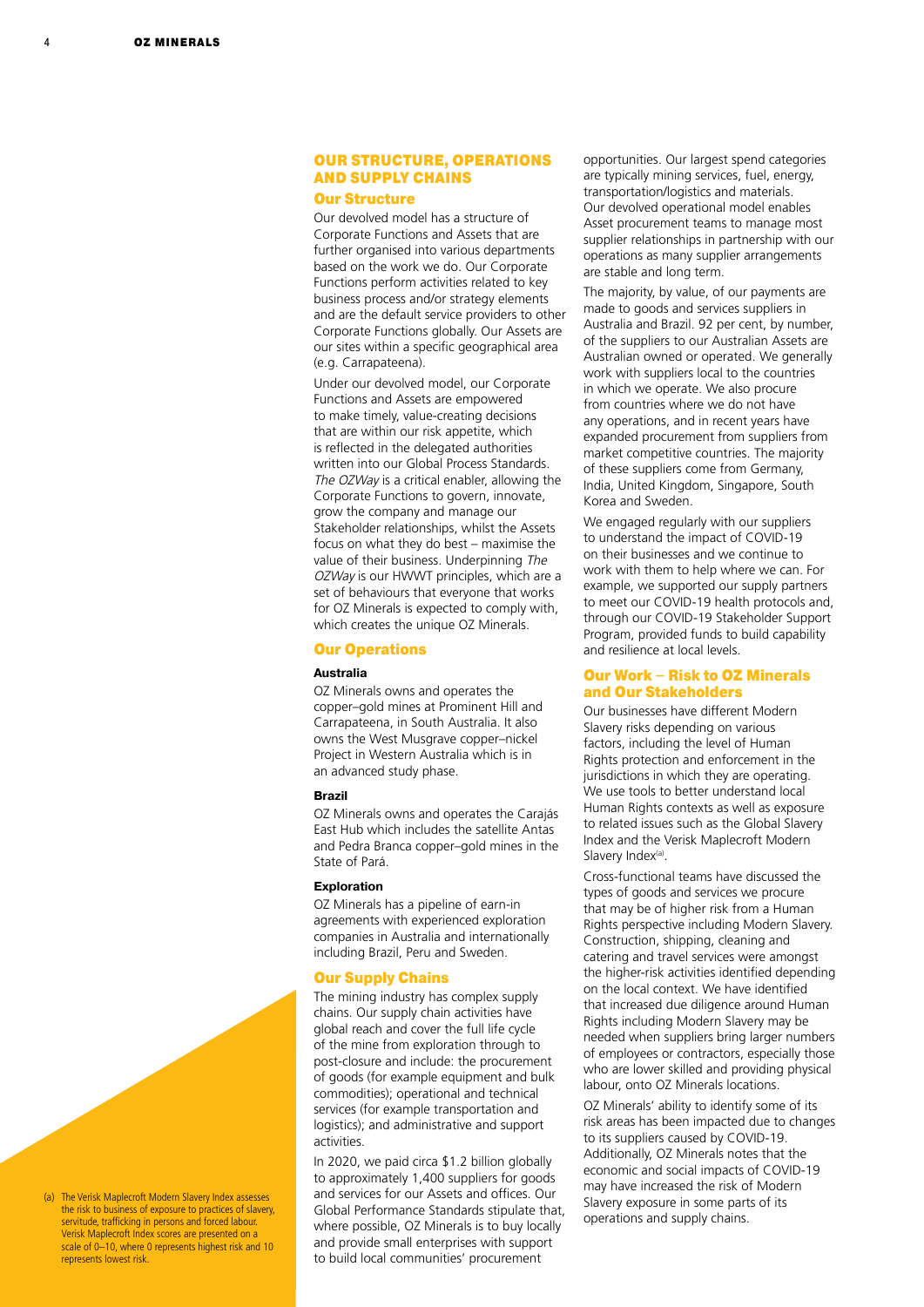#### OUR STRUCTURE, OPERATIONS AND SUPPLY CHAINS

#### Our Structure

Our devolved model has a structure of Corporate Functions and Assets that are further organised into various departments based on the work we do. Our Corporate Functions perform activities related to key business process and/or strategy elements and are the default service providers to other Corporate Functions globally. Our Assets are our sites within a specific geographical area (e.g. Carrapateena).

Under our devolved model, our Corporate Functions and Assets are empowered to make timely, value-creating decisions that are within our risk appetite, which is reflected in the delegated authorities written into our Global Process Standards. The OZWay is a critical enabler, allowing the Corporate Functions to govern, innovate, grow the company and manage our Stakeholder relationships, whilst the Assets focus on what they do best – maximise the value of their business. Underpinning The OZWay is our HWWT principles, which are a set of behaviours that everyone that works for OZ Minerals is expected to comply with, which creates the unique OZ Minerals.

#### Our Operations

#### **Australia**

OZ Minerals owns and operates the copper–gold mines at Prominent Hill and Carrapateena, in South Australia. It also owns the West Musgrave copper–nickel Project in Western Australia which is in an advanced study phase.

#### **Brazil**

OZ Minerals owns and operates the Carajás East Hub which includes the satellite Antas and Pedra Branca copper–gold mines in the State of Pará.

#### **Exploration**

OZ Minerals has a pipeline of earn-in agreements with experienced exploration companies in Australia and internationally including Brazil, Peru and Sweden.

#### Our Supply Chains

The mining industry has complex supply chains. Our supply chain activities have global reach and cover the full life cycle of the mine from exploration through to post-closure and include: the procurement of goods (for example equipment and bulk commodities); operational and technical services (for example transportation and logistics); and administrative and support activities.

In 2020, we paid circa \$1.2 billion globally to approximately 1,400 suppliers for goods and services for our Assets and offices. Our Global Performance Standards stipulate that, where possible, OZ Minerals is to buy locally and provide small enterprises with support to build local communities' procurement

opportunities. Our largest spend categories are typically mining services, fuel, energy, transportation/logistics and materials. Our devolved operational model enables Asset procurement teams to manage most supplier relationships in partnership with our operations as many supplier arrangements are stable and long term.

The majority, by value, of our payments are made to goods and services suppliers in Australia and Brazil. 92 per cent, by number, of the suppliers to our Australian Assets are Australian owned or operated. We generally work with suppliers local to the countries in which we operate. We also procure from countries where we do not have any operations, and in recent years have expanded procurement from suppliers from market competitive countries. The majority of these suppliers come from Germany, India, United Kingdom, Singapore, South Korea and Sweden.

We engaged regularly with our suppliers to understand the impact of COVID-19 on their businesses and we continue to work with them to help where we can. For example, we supported our supply partners to meet our COVID-19 health protocols and, through our COVID-19 Stakeholder Support Program, provided funds to build capability and resilience at local levels.

#### Our Work – Risk to OZ Minerals and Our Stakeholders

Our businesses have different Modern Slavery risks depending on various factors, including the level of Human Rights protection and enforcement in the jurisdictions in which they are operating. We use tools to better understand local Human Rights contexts as well as exposure to related issues such as the Global Slavery Index and the Verisk Maplecroft Modern Slavery Index<sup>(a)</sup>.

Cross-functional teams have discussed the types of goods and services we procure that may be of higher risk from a Human Rights perspective including Modern Slavery. Construction, shipping, cleaning and catering and travel services were amongst the higher-risk activities identified depending on the local context. We have identified that increased due diligence around Human Rights including Modern Slavery may be needed when suppliers bring larger numbers of employees or contractors, especially those who are lower skilled and providing physical labour, onto OZ Minerals locations.

OZ Minerals' ability to identify some of its risk areas has been impacted due to changes to its suppliers caused by COVID-19. Additionally, OZ Minerals notes that the economic and social impacts of COVID-19 may have increased the risk of Modern Slavery exposure in some parts of its operations and supply chains.



the risk to business of exposure to practices of slavery, servitude, trafficking in persons and forced labour. Verisk Maplecroft Index scores are presented on a scale of 0–10, where 0 represents highest risk and 10 represents lowest risk.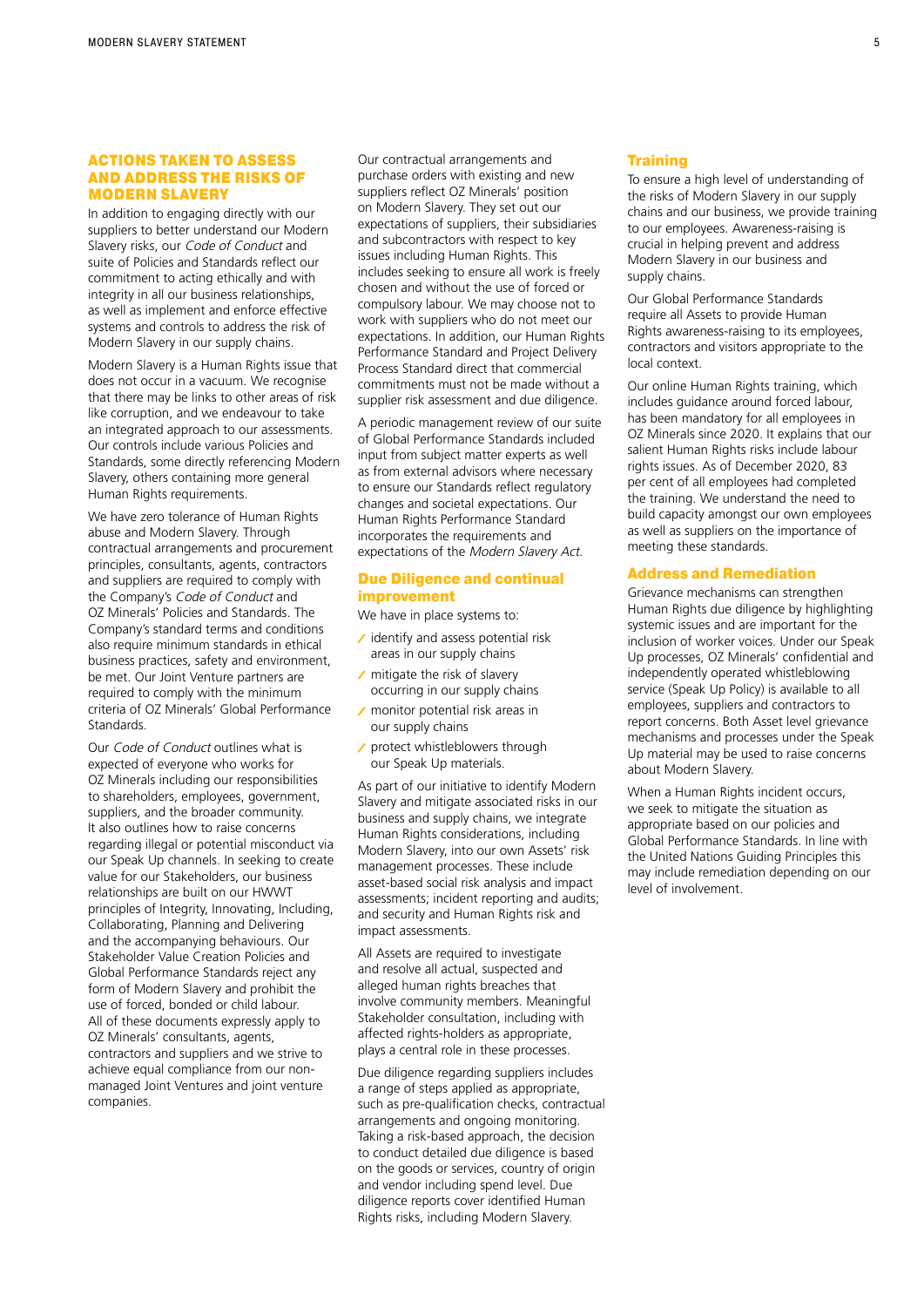#### ACTIONS TAKEN TO ASSESS AND ADDRESS THE RISKS OF MODERN SLAVERY

In addition to engaging directly with our suppliers to better understand our Modern Slavery risks, our Code of Conduct and suite of Policies and Standards reflect our commitment to acting ethically and with integrity in all our business relationships, as well as implement and enforce effective systems and controls to address the risk of Modern Slavery in our supply chains.

Modern Slavery is a Human Rights issue that does not occur in a vacuum. We recognise that there may be links to other areas of risk like corruption, and we endeavour to take an integrated approach to our assessments. Our controls include various Policies and Standards, some directly referencing Modern Slavery, others containing more general Human Rights requirements.

We have zero tolerance of Human Rights abuse and Modern Slavery. Through contractual arrangements and procurement principles, consultants, agents, contractors and suppliers are required to comply with the Company's Code of Conduct and OZ Minerals' Policies and Standards. The Company's standard terms and conditions also require minimum standards in ethical business practices, safety and environment, be met. Our Joint Venture partners are required to comply with the minimum criteria of OZ Minerals' Global Performance **Standards** 

Our Code of Conduct outlines what is expected of everyone who works for OZ Minerals including our responsibilities to shareholders, employees, government, suppliers, and the broader community. It also outlines how to raise concerns regarding illegal or potential misconduct via our Speak Up channels. In seeking to create value for our Stakeholders, our business relationships are built on our HWWT principles of Integrity, Innovating, Including, Collaborating, Planning and Delivering and the accompanying behaviours. Our Stakeholder Value Creation Policies and Global Performance Standards reject any form of Modern Slavery and prohibit the use of forced, bonded or child labour. All of these documents expressly apply to OZ Minerals' consultants, agents, contractors and suppliers and we strive to achieve equal compliance from our nonmanaged Joint Ventures and joint venture companies.

Our contractual arrangements and purchase orders with existing and new suppliers reflect OZ Minerals' position on Modern Slavery. They set out our expectations of suppliers, their subsidiaries and subcontractors with respect to key issues including Human Rights. This includes seeking to ensure all work is freely chosen and without the use of forced or compulsory labour. We may choose not to work with suppliers who do not meet our expectations. In addition, our Human Rights Performance Standard and Project Delivery Process Standard direct that commercial commitments must not be made without a supplier risk assessment and due diligence.

A periodic management review of our suite of Global Performance Standards included input from subject matter experts as well as from external advisors where necessary to ensure our Standards reflect regulatory changes and societal expectations. Our Human Rights Performance Standard incorporates the requirements and expectations of the Modern Slavery Act.

#### Due Diligence and continual improvement

We have in place systems to:

- ⁄identify and assess potential risk areas in our supply chains
- ⁄mitigate the risk of slavery occurring in our supply chains
- ⁄monitor potential risk areas in our supply chains
- ⁄protect whistleblowers through our Speak Up materials.

As part of our initiative to identify Modern Slavery and mitigate associated risks in our business and supply chains, we integrate Human Rights considerations, including Modern Slavery, into our own Assets' risk management processes. These include asset-based social risk analysis and impact assessments; incident reporting and audits; and security and Human Rights risk and impact assessments.

All Assets are required to investigate and resolve all actual, suspected and alleged human rights breaches that involve community members. Meaningful Stakeholder consultation, including with affected rights-holders as appropriate, plays a central role in these processes.

Due diligence regarding suppliers includes a range of steps applied as appropriate, such as pre-qualification checks, contractual arrangements and ongoing monitoring. Taking a risk-based approach, the decision to conduct detailed due diligence is based on the goods or services, country of origin and vendor including spend level. Due diligence reports cover identified Human Rights risks, including Modern Slavery.

#### **Training**

To ensure a high level of understanding of the risks of Modern Slavery in our supply chains and our business, we provide training to our employees. Awareness-raising is crucial in helping prevent and address Modern Slavery in our business and supply chains.

Our Global Performance Standards require all Assets to provide Human Rights awareness-raising to its employees, contractors and visitors appropriate to the local context.

Our online Human Rights training, which includes guidance around forced labour, has been mandatory for all employees in OZ Minerals since 2020. It explains that our salient Human Rights risks include labour rights issues. As of December 2020, 83 per cent of all employees had completed the training. We understand the need to build capacity amongst our own employees as well as suppliers on the importance of meeting these standards.

#### Address and Remediation

Grievance mechanisms can strengthen Human Rights due diligence by highlighting systemic issues and are important for the inclusion of worker voices. Under our Speak Up processes, OZ Minerals' confidential and independently operated whistleblowing service (Speak Up Policy) is available to all employees, suppliers and contractors to report concerns. Both Asset level grievance mechanisms and processes under the Speak Up material may be used to raise concerns about Modern Slavery.

When a Human Rights incident occurs, we seek to mitigate the situation as appropriate based on our policies and Global Performance Standards. In line with the United Nations Guiding Principles this may include remediation depending on our level of involvement.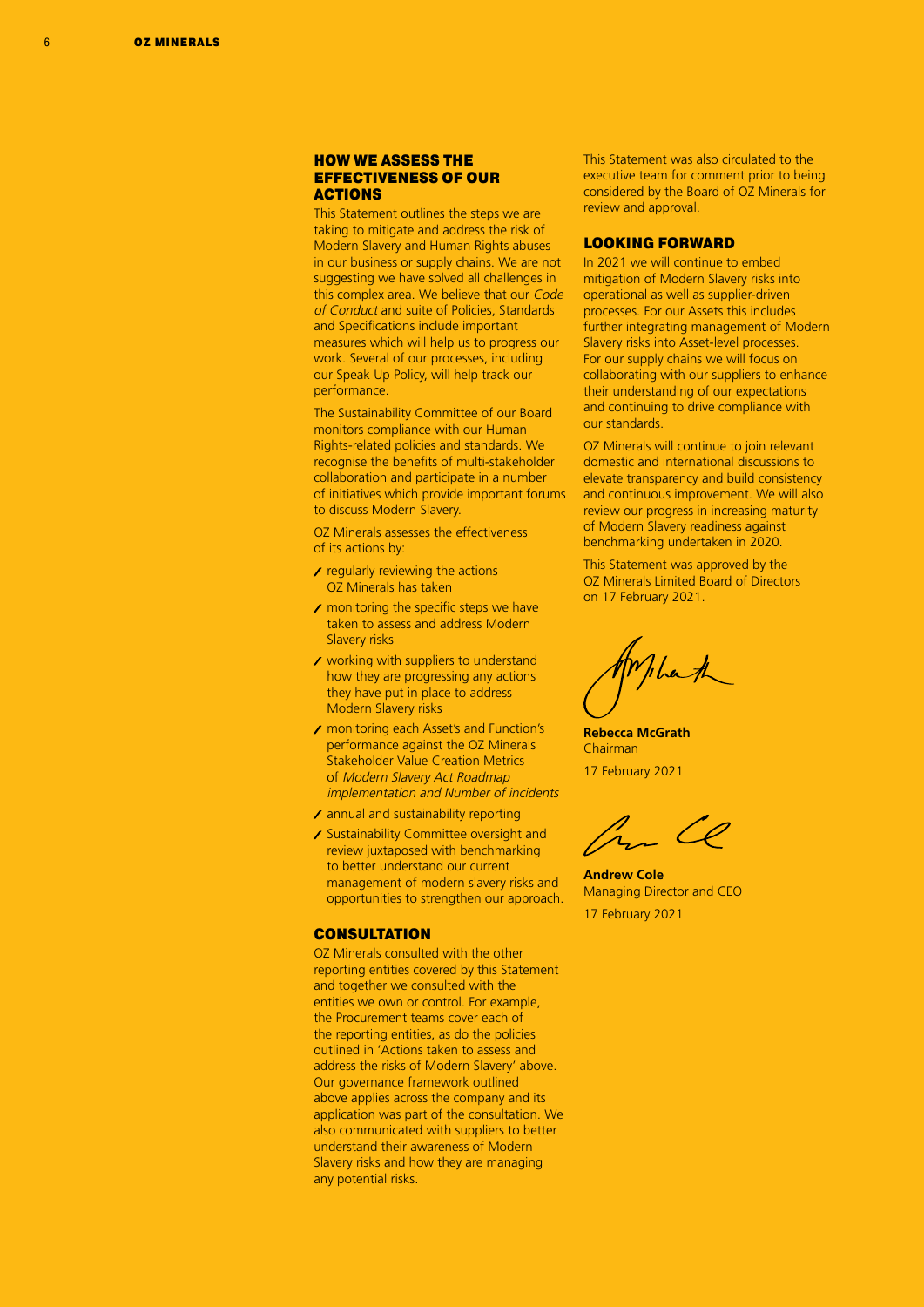#### HOW WE ASSESS THE EFFECTIVENESS OF OUR ACTIONS

This Statement outlines the steps we are taking to mitigate and address the risk of Modern Slavery and Human Rights abuses in our business or supply chains. We are not suggesting we have solved all challenges in this complex area. We believe that our Code of Conduct and suite of Policies, Standards and Specifications include important measures which will help us to progress our work. Several of our processes, including our Speak Up Policy, will help track our performance.

The Sustainability Committee of our Board monitors compliance with our Human Rights-related policies and standards. We recognise the benefits of multi-stakeholder collaboration and participate in a number of initiatives which provide important forums to discuss Modern Slavery.

OZ Minerals assesses the effectiveness of its actions by:

- ⁄regularly reviewing the actions OZ Minerals has taken
- **∕** monitoring the specific steps we have taken to assess and address Modern Slavery risks
- ⁄working with suppliers to understand how they are progressing any actions they have put in place to address Modern Slavery risks
- ⁄monitoring each Asset's and Function's performance against the OZ Minerals Stakeholder Value Creation Metrics of Modern Slavery Act Roadmap implementation and Number of incidents
- ⁄annual and sustainability reporting
- ⁄Sustainability Committee oversight and review juxtaposed with benchmarking to better understand our current management of modern slavery risks and opportunities to strengthen our approach.

#### **CONSULTATION**

OZ Minerals consulted with the other reporting entities covered by this Statement and together we consulted with the entities we own or control. For example, the Procurement teams cover each of the reporting entities, as do the policies outlined in 'Actions taken to assess and address the risks of Modern Slavery' above. Our governance framework outlined above applies across the company and its application was part of the consultation. We also communicated with suppliers to better understand their awareness of Modern Slavery risks and how they are managing any potential risks.

This Statement was also circulated to the executive team for comment prior to being considered by the Board of OZ Minerals for review and approval.

#### LOOKING FORWARD

In 2021 we will continue to embed mitigation of Modern Slavery risks into operational as well as supplier-driven processes. For our Assets this includes further integrating management of Modern Slavery risks into Asset-level processes. For our supply chains we will focus on collaborating with our suppliers to enhance their understanding of our expectations and continuing to drive compliance with our standards.

OZ Minerals will continue to join relevant domestic and international discussions to elevate transparency and build consistency and continuous improvement. We will also review our progress in increasing maturity of Modern Slavery readiness against benchmarking undertaken in 2020.

This Statement was approved by the OZ Minerals Limited Board of Directors on 17 February 2021.

llat

**Rebecca McGrath**  Chairman 17 February 2021

In Cl

**Andrew Cole**  Managing Director and CEO 17 February 2021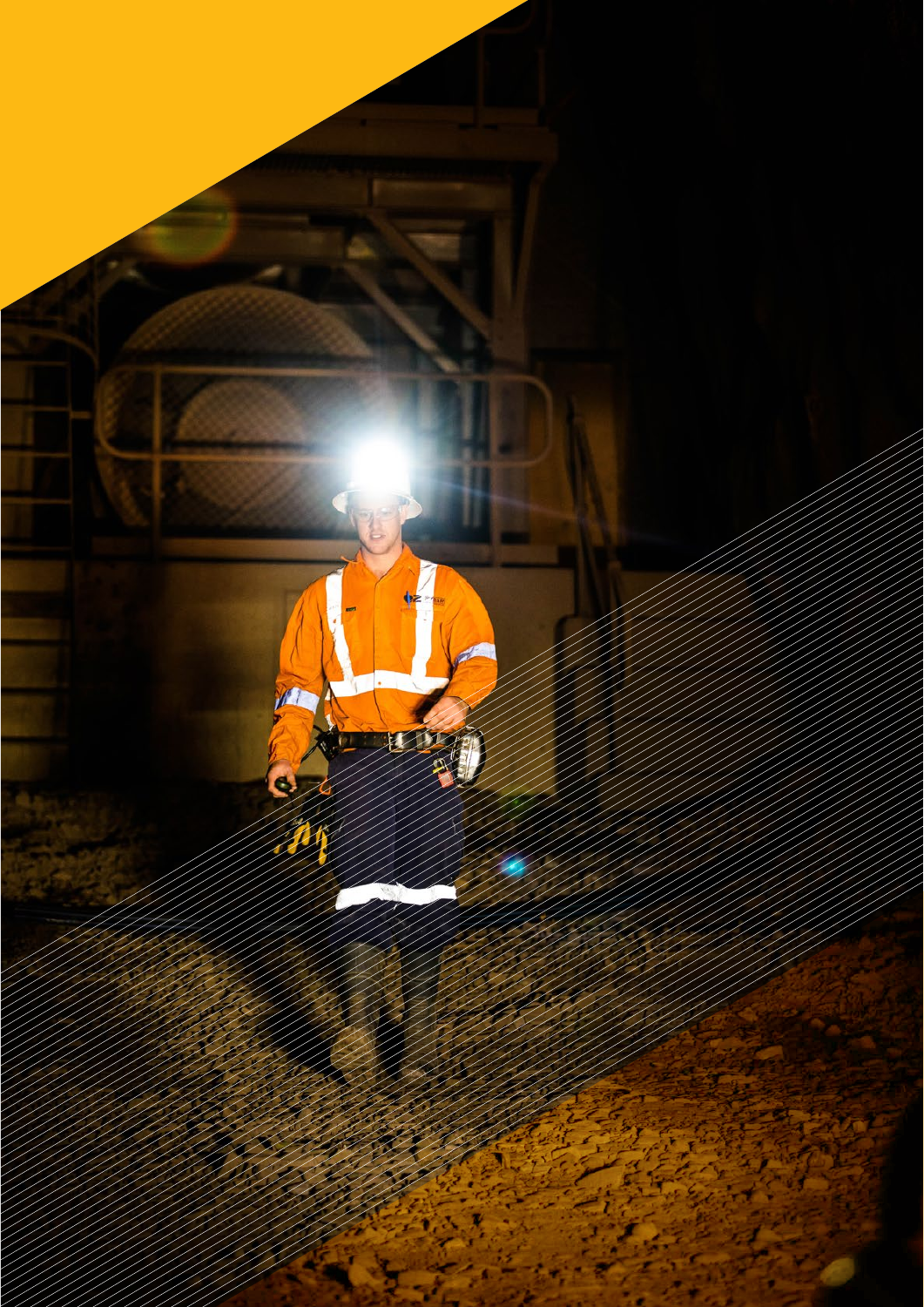